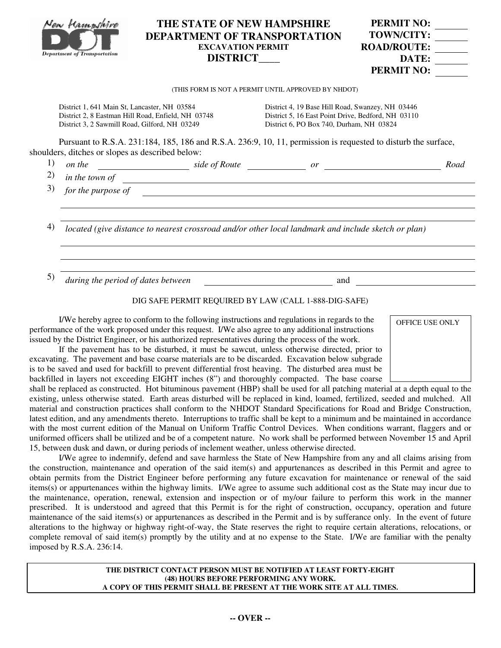|    | Yen Hampshire<br><b>Department of Transportation</b>                                                | THE STATE OF NEW HAMPSHIRE<br><b>DEPARTMENT OF TRANSPORTATION</b><br><b>EXCAVATION PERMIT</b><br><b>DISTRICT</b>                                                                                                              |                                                                                                                                                    | <b>PERMIT NO:</b><br><b>TOWN/CITY:</b><br><b>ROAD/ROUTE:</b><br>DATE:<br><b>PERMIT NO:</b> |      |  |
|----|-----------------------------------------------------------------------------------------------------|-------------------------------------------------------------------------------------------------------------------------------------------------------------------------------------------------------------------------------|----------------------------------------------------------------------------------------------------------------------------------------------------|--------------------------------------------------------------------------------------------|------|--|
|    |                                                                                                     |                                                                                                                                                                                                                               | (THIS FORM IS NOT A PERMIT UNTIL APPROVED BY NHDOT)                                                                                                |                                                                                            |      |  |
|    | District 1, 641 Main St, Lancaster, NH 03584<br>District 3, 2 Sawmill Road, Gilford, NH 03249       | District 2, 8 Eastman Hill Road, Enfield, NH 03748<br>Pursuant to R.S.A. 231:184, 185, 186 and R.S.A. 236:9, 10, 11, permission is requested to disturb the surface,                                                          | District 4, 19 Base Hill Road, Swanzey, NH 03446<br>District 5, 16 East Point Drive, Bedford, NH 03110<br>District 6, PO Box 740, Durham, NH 03824 |                                                                                            |      |  |
|    | shoulders, ditches or slopes as described below:                                                    |                                                                                                                                                                                                                               |                                                                                                                                                    |                                                                                            |      |  |
| 1) |                                                                                                     |                                                                                                                                                                                                                               |                                                                                                                                                    |                                                                                            | Road |  |
| 2) |                                                                                                     |                                                                                                                                                                                                                               |                                                                                                                                                    |                                                                                            |      |  |
| 3) |                                                                                                     | for the purpose of contact the purpose of contact the purpose of contact of the purpose of contact of the contact of the contact of the contact of the contact of the contact of the contact of the contact of the contact of |                                                                                                                                                    |                                                                                            |      |  |
| 4) | located (give distance to nearest crossroad and/or other local landmark and include sketch or plan) |                                                                                                                                                                                                                               |                                                                                                                                                    |                                                                                            |      |  |
| 5) | during the period of dates between                                                                  |                                                                                                                                                                                                                               | and                                                                                                                                                |                                                                                            |      |  |
|    |                                                                                                     | DIG SAFE PERMIT REQUIRED BY LAW (CALL 1-888-DIG-SAFE)                                                                                                                                                                         |                                                                                                                                                    |                                                                                            |      |  |
|    |                                                                                                     | I/We hereby agree to conform to the following instructions and regulations in regards to the                                                                                                                                  |                                                                                                                                                    | OFFICE USE ONLY                                                                            |      |  |

performance of the work proposed under this request. I/We also agree to any additional instructions issued by the District Engineer, or his authorized representatives during the process of the work.

 If the pavement has to be disturbed, it must be sawcut, unless otherwise directed, prior to excavating. The pavement and base coarse materials are to be discarded. Excavation below subgrade is to be saved and used for backfill to prevent differential frost heaving. The disturbed area must be backfilled in layers not exceeding EIGHT inches (8") and thoroughly compacted. The base coarse

shall be replaced as constructed. Hot bituminous pavement (HBP) shall be used for all patching material at a depth equal to the existing, unless otherwise stated. Earth areas disturbed will be replaced in kind, loamed, fertilized, seeded and mulched. All material and construction practices shall conform to the NHDOT Standard Specifications for Road and Bridge Construction, latest edition, and any amendments thereto. Interruptions to traffic shall be kept to a minimum and be maintained in accordance with the most current edition of the Manual on Uniform Traffic Control Devices. When conditions warrant, flaggers and or uniformed officers shall be utilized and be of a competent nature. No work shall be performed between November 15 and April 15, between dusk and dawn, or during periods of inclement weather, unless otherwise directed.

 I/We agree to indemnify, defend and save harmless the State of New Hampshire from any and all claims arising from the construction, maintenance and operation of the said item(s) and appurtenances as described in this Permit and agree to obtain permits from the District Engineer before performing any future excavation for maintenance or renewal of the said items(s) or appurtenances within the highway limits. I/We agree to assume such additional cost as the State may incur due to the maintenance, operation, renewal, extension and inspection or of my/our failure to perform this work in the manner prescribed. It is understood and agreed that this Permit is for the right of construction, occupancy, operation and future maintenance of the said items(s) or appurtenances as described in the Permit and is by sufferance only. In the event of future alterations to the highway or highway right-of-way, the State reserves the right to require certain alterations, relocations, or complete removal of said item(s) promptly by the utility and at no expense to the State. I/We are familiar with the penalty imposed by R.S.A. 236:14.

> **THE DISTRICT CONTACT PERSON MUST BE NOTIFIED AT LEAST FORTY-EIGHT (48) HOURS BEFORE PERFORMING ANY WORK. A COPY OF THIS PERMIT SHALL BE PRESENT AT THE WORK SITE AT ALL TIMES.**